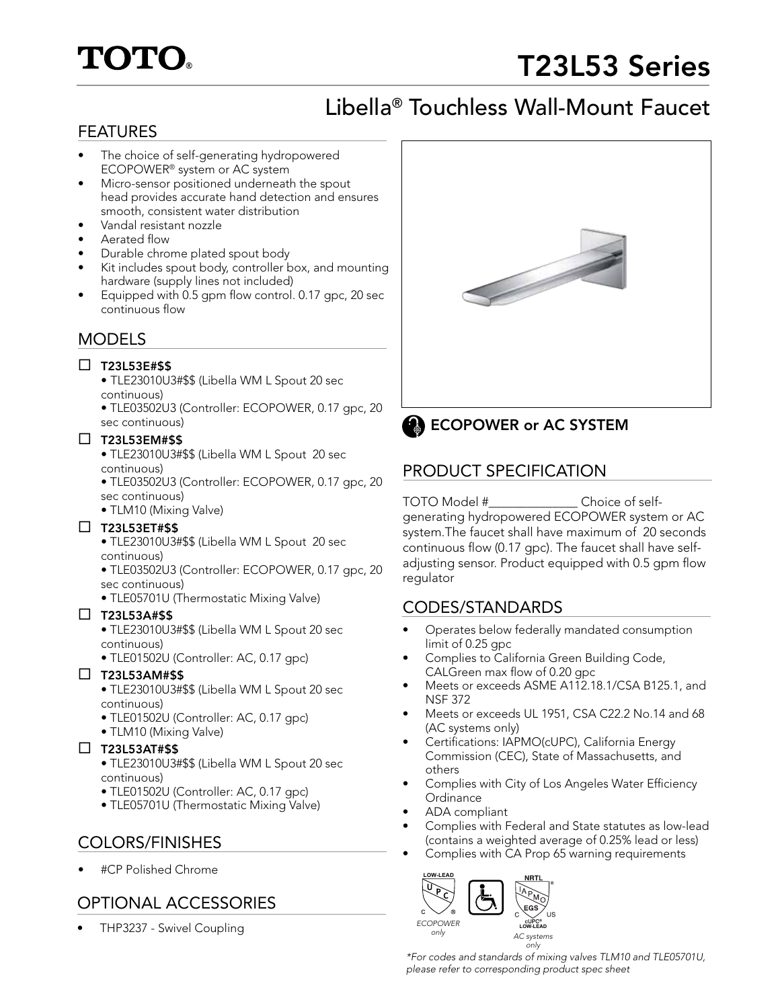# **TOTO.**

# T23L53 Series

# Libella® Touchless Wall-Mount Faucet

# FEATURES

- The choice of self-generating hydropowered ECOPOWER® system or AC system
- Micro-sensor positioned underneath the spout head provides accurate hand detection and ensures smooth, consistent water distribution
- Vandal resistant nozzle
- Aerated flow
- Durable chrome plated spout body
- Kit includes spout body, controller box, and mounting hardware (supply lines not included)
- Equipped with 0.5 gpm flow control. 0.17 gpc, 20 sec continuous flow

# MODELS

## $\square$  T23L53E#\$\$

- TLE23010U3#\$\$ (Libella WM L Spout 20 sec continuous)
- TLE03502U3 (Controller: ECOPOWER, 0.17 gpc, 20 sec continuous)

#### $\square$  T23L53EM#\$\$

- TLE23010U3#\$\$ (Libella WM L Spout 20 sec continuous)
- TLE03502U3 (Controller: ECOPOWER, 0.17 gpc, 20 sec continuous)
- TLM10 (Mixing Valve)

### $\square$  T23L53ET#\$\$

• TLE23010U3#\$\$ (Libella WM L Spout 20 sec continuous)

- TLE03502U3 (Controller: ECOPOWER, 0.17 gpc, 20 sec continuous)
- TLE05701U (Thermostatic Mixing Valve)

### $\square$  T23L53A#\$\$

- TLE23010U3#\$\$ (Libella WM L Spout 20 sec continuous)
- TLE01502U (Controller: AC, 0.17 gpc)

### $\Box$  T23L53AM#\$\$

- TLE23010U3#\$\$ (Libella WM L Spout 20 sec continuous)
- TLE01502U (Controller: AC, 0.17 gpc)
- TLM10 (Mixing Valve)

### $\Box$  T23L53AT#\$\$

- TLE23010U3#\$\$ (Libella WM L Spout 20 sec continuous)
- TLE01502U (Controller: AC, 0.17 gpc)
- TLE05701U (Thermostatic Mixing Valve)

# COLORS/FINISHES

• #CP Polished Chrome

# OPTIONAL ACCESSORIES

• THP3237 - Swivel Coupling





# **ECOPOWER or AC SYSTEM**

# PRODUCT SPECIFICATION

#### TOTO Model #\_\_\_\_\_\_\_\_\_\_\_\_\_\_ Choice of selfgenerating hydropowered ECOPOWER system or AC system.The faucet shall have maximum of 20 seconds continuous flow (0.17 gpc). The faucet shall have selfadjusting sensor. Product equipped with 0.5 gpm flow regulator

# CODES/STANDARDS

- Operates below federally mandated consumption limit of 0.25 gpc
- Complies to California Green Building Code, CALGreen max flow of 0.20 gpc
- Meets or exceeds ASME A112.18.1/CSA B125.1, and NSF 372
- Meets or exceeds UL 1951, CSA C22.2 No.14 and 68 (AC systems only)
- Certifications: IAPMO(cUPC), California Energy Commission (CEC), State of Massachusetts, and others
- Complies with City of Los Angeles Water Efficiency **Ordinance**
- ADA compliant

 $\mathbf C$ 

- Complies with Federal and State statutes as low-lead (contains a weighted average of 0.25% lead or less)
- Complies with CA Prop 65 warning requirements



*\*For codes and standards of mixing valves TLM10 and TLE05701U, please refer to corresponding product spec sheet*